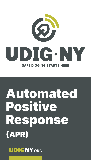

# Automated Positive Response (APR)

**UDIGNY.ORG**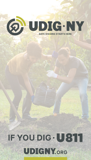# ® UDIG.NY **SAFE DIGGING STARTS HERE**

# IF YOU DIG . US11 **UDIGNY.ORG**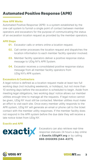## Automated Positive Response (APR)

### How APR Works

Automated Positive Response (APR): is a system established by the one-call system to furnish a single point of contact between member operators and excavators for the purpose of communicating the status of an excavation location request as provided by the member operators.

#### APR Steps

- **01.** Excavator calls or enters online a location request.
- **02.** Call center processes the location request and dispatches the location information to each member facility operator involved.
- **03.** Member facility operators deliver a positive response status message to UDig NY's APR System.
- **04.** Excavator receives a consolidated positive response status message from all member facility operators from UDig NY's APR system.

### Excavators & Contractors

A legal notice is defined as a location request made at least two full working days (not including weekends, or holidays), but not more than 10 working days before the excavation is scheduled to begin. Aside from meeting legal obligations, two working days' notice allows our member utilities enough time to manage all the requests. If legal notice cannot be given, UDig NY must still be contacted. Member utilities must make an effort to visit each site. Once every member utility responds to the APR system, UDig NY will generate an email or phone call to the ticket contact with the member utility responses. If the member facility does not respond in the APR system before the due date they will receive a late notice ticket from UDig NY.

#### Exactix and APR



Excavators can also retrieve real-time response statuses 24 hours a day online at Exactix. UDigNY.org or by calling 888-DIGGERS (344-4377).



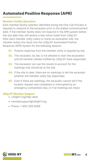## Automated Positive Response (APR)

#### Member Facility Operators

Each member facility operator identified during the One-Call Process is required to respond to the excavator prior to the stated commencement date. If the member facility does not respond in the APR system before the due date they will receive a late notice ticket from UDig NY. After each member utility clears or marks an excavation site, the member enters the result into the UDig NY Automated Positive Response (APR) System for the following reasons:

- **01.** Positive response from the member utility is required by law.
- **02.** The excavator, by law, is not allowed to start the excavation until all member utilities notified by UDig NY have responded.
- **03.** The excavator can use the results to account for the markings that should be at the site.
- **04.** If the site is clear, there are no markings to tell the excavator whether the member utility has responded.
- 05. Even if there are markings, the excavator cannot tell if the location request was completed or interrupted by an emergency somewhere else, or if all markings are intact.

## UDig NY Member Support

- UDigNY.org/help-desk
- membersupport@UDigNY.org
- Phone: 1-800-309-8289

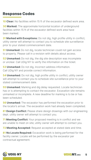## Response Codes

**10 Clear:** No facilities within 15 ft of the excavator defined work area.

**30 Marked:** The approximate horizontal location of underground facilities within 15 ft of the excavator defined work area have been marked.

**31 Marked with Exceptions:** Do not dig, high profile utility in conflict; utility owner will attempt to contact you to schedule site surveillance prior to your stated commencement date.

**51 Unmarked:** Do not dig, locate technician could not gain access to property. Please call in a revision with details about access.

**52 Unmarked:** Do not dig, the dig site description was incomplete or unclear. Call UDig NY to verify the information on the ticket.

**53 Unmarked:** Do not dig, incorrect address information. Call UDig NY and provide correct information.

**54 Unmarked:** Do not dig, high profile utility in conflict; utility owner will attempt to contact you to schedule site surveillance prior to your stated commencement date.

**55 Unmarked:** Marking and dig delay requested. Locate technician has or is attempting to contact the excavator. Excavation site remains unmarked or incomplete. A new deadline for marking is to be or has been scheduled.

**56 Unmarked:** The excavator has performed the excavation prior to the locator's arrival. The excavation work had already been completed.

**61 Design Conflict:** Please share design drawings with our engineering dept. utility owner will attempt to contact you.

**71 Meeting Conflict:** Your proposed meeting is in conflict and we are unable to meet on site; utility owner will attempt to contact you.

**72 Meeting Accepted:** Request accepted at stated date and time.

81 No Locate Required: Excavation work is being performed for the facility owner. Locate will be performed by the excavator per contractual agreement.